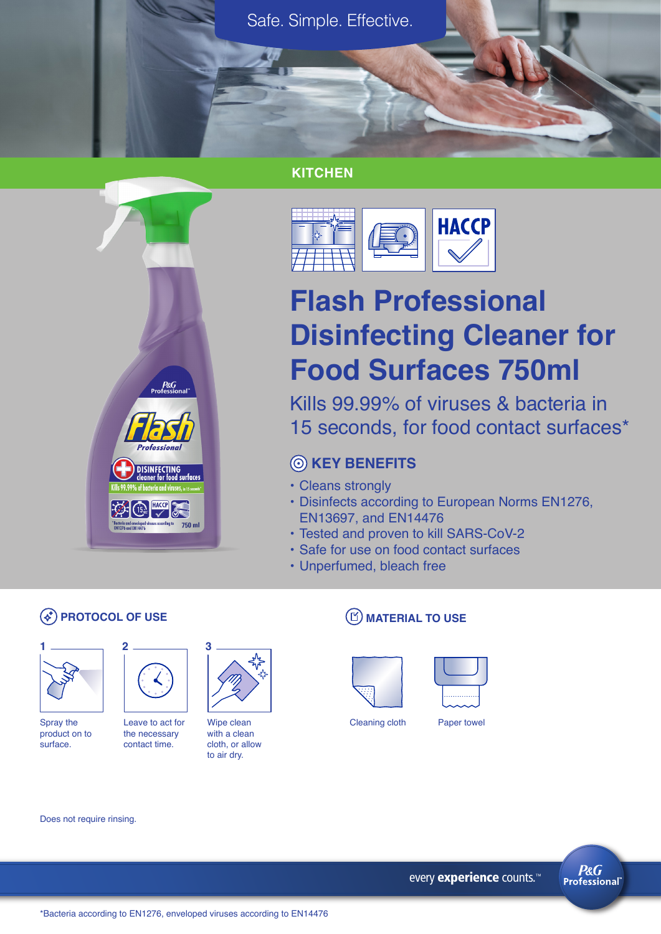Safe. Simple. Effective.

## **KITCHEN**



# **Flash Professional Disinfecting Cleaner for Food Surfaces 750ml**

Kills 99.99% of viruses & bacteria in 15 seconds, for food contact surfaces\*

# **KEY BENEFITS**

- Cleans strongly
- Disinfects according to European Norms EN1276, EN13697, and EN14476
- Tested and proven to kill SARS-CoV-2
- Safe for use on food contact surfaces
- Unperfumed, bleach free

# **PROTOCOL OF USE**



Spray the product on to surface.



 $P&G$ <br>Professio

Prafaccio

薬の品く  $\label{def:1} \begin{array}{ll} \text{"Bacteria and enveloped viruses according} \\ \text{EN1276 and EN14476} \end{array}$ 

**DISINFECTING** 

 $^{\circ}$  750 ml

Leave to act for the necessary contact time.



Wipe clean with a clean cloth, or allow to air dry.

### **(D) MATERIAL TO USE**





Cleaning cloth Paper towel

Does not require rinsing.



\*Bacteria according to EN1276, enveloped viruses according to EN14476